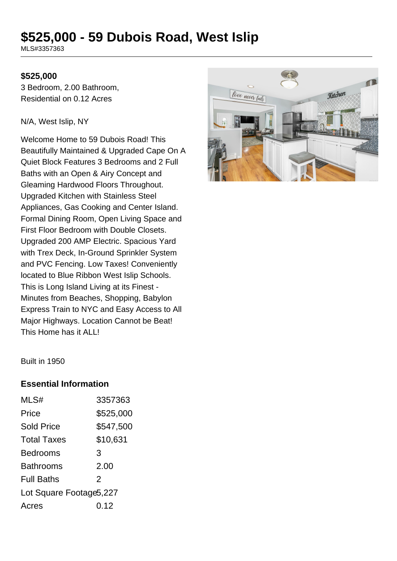# **\$525,000 - 59 Dubois Road, West Islip**

MLS#3357363

#### **\$525,000**

3 Bedroom, 2.00 Bathroom, Residential on 0.12 Acres

N/A, West Islip, NY

Welcome Home to 59 Dubois Road! This Beautifully Maintained & Upgraded Cape On A Quiet Block Features 3 Bedrooms and 2 Full Baths with an Open & Airy Concept and Gleaming Hardwood Floors Throughout. Upgraded Kitchen with Stainless Steel Appliances, Gas Cooking and Center Island. Formal Dining Room, Open Living Space and First Floor Bedroom with Double Closets. Upgraded 200 AMP Electric. Spacious Yard with Trex Deck, In-Ground Sprinkler System and PVC Fencing. Low Taxes! Conveniently located to Blue Ribbon West Islip Schools. This is Long Island Living at its Finest - Minutes from Beaches, Shopping, Babylon Express Train to NYC and Easy Access to All Major Highways. Location Cannot be Beat! This Home has it ALL!



Built in 1950

#### **Essential Information**

| MLS#                     | 3357363   |
|--------------------------|-----------|
| Price                    | \$525,000 |
| <b>Sold Price</b>        | \$547,500 |
| <b>Total Taxes</b>       | \$10,631  |
| <b>Bedrooms</b>          | 3         |
| <b>Bathrooms</b>         | 2.00      |
| <b>Full Baths</b>        | 2         |
| Lot Square Footage 5,227 |           |
| Acres                    | 0.12      |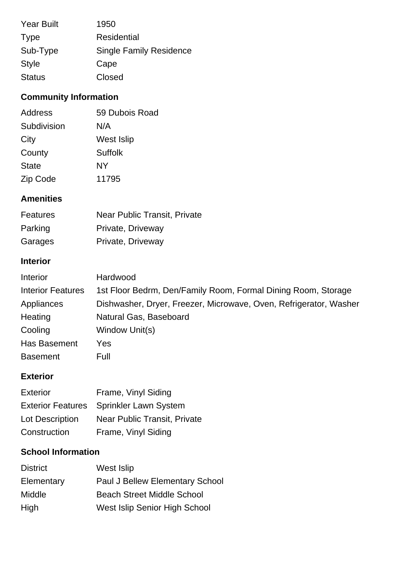| <b>Year Built</b> | 1950                           |
|-------------------|--------------------------------|
| <b>Type</b>       | <b>Residential</b>             |
| Sub-Type          | <b>Single Family Residence</b> |
| <b>Style</b>      | Cape                           |
| <b>Status</b>     | Closed                         |

# **Community Information**

| Address      | 59 Dubois Road |
|--------------|----------------|
| Subdivision  | N/A            |
| City         | West Islip     |
| County       | Suffolk        |
| <b>State</b> | <b>NY</b>      |
| Zip Code     | 11795          |

## **Amenities**

| Features | <b>Near Public Transit, Private</b> |
|----------|-------------------------------------|
| Parking  | Private, Driveway                   |
| Garages  | Private, Driveway                   |

## **Interior**

| Interior                 | Hardwood                                                          |
|--------------------------|-------------------------------------------------------------------|
| <b>Interior Features</b> | 1st Floor Bedrm, Den/Family Room, Formal Dining Room, Storage     |
| Appliances               | Dishwasher, Dryer, Freezer, Microwave, Oven, Refrigerator, Washer |
| Heating                  | Natural Gas, Baseboard                                            |
| Cooling                  | Window Unit(s)                                                    |
| Has Basement             | Yes                                                               |
| <b>Basement</b>          | Full                                                              |

## **Exterior**

| <b>Exterior</b> | Frame, Vinyl Siding                     |
|-----------------|-----------------------------------------|
|                 | Exterior Features Sprinkler Lawn System |
| Lot Description | Near Public Transit, Private            |
| Construction    | Frame, Vinyl Siding                     |

## **School Information**

| <b>District</b> | West Islip                        |
|-----------------|-----------------------------------|
| Elementary      | Paul J Bellew Elementary School   |
| Middle          | <b>Beach Street Middle School</b> |
| High            | West Islip Senior High School     |